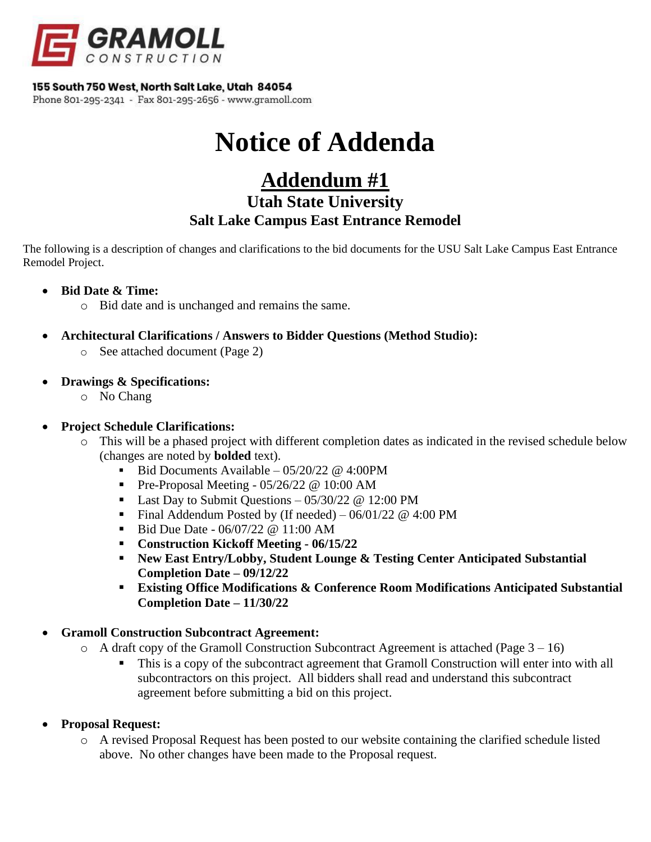

### 155 South 750 West, North Salt Lake, Utah 84054

Phone 801-295-2341 - Fax 801-295-2656 - www.gramoll.com

# **Notice of Addenda**

## **Addendum #1 Utah State University Salt Lake Campus East Entrance Remodel**

The following is a description of changes and clarifications to the bid documents for the USU Salt Lake Campus East Entrance Remodel Project.

- **Bid Date & Time:**
	- o Bid date and is unchanged and remains the same.
- **Architectural Clarifications / Answers to Bidder Questions (Method Studio):**
	- o See attached document (Page 2)
- **Drawings & Specifications:**
	- o No Chang

## • **Project Schedule Clarifications:**

- o This will be a phased project with different completion dates as indicated in the revised schedule below (changes are noted by **bolded** text).
	- Bid Documents Available  $05/20/22 \omega$  4:00PM
	- **•** Pre-Proposal Meeting  $05/26/22$  @ 10:00 AM
	- Last Day to Submit Questions  $-05/30/22$  @ 12:00 PM
	- Final Addendum Posted by (If needed)  $-06/01/22 \text{ @ } 4:00 \text{ PM}$
	- $\blacksquare$  Bid Due Date 06/07/22 @ 11:00 AM
	- **Construction Kickoff Meeting - 06/15/22**
	- **New East Entry/Lobby, Student Lounge & Testing Center Anticipated Substantial Completion Date – 09/12/22**
	- **Existing Office Modifications & Conference Room Modifications Anticipated Substantial Completion Date – 11/30/22**

## • **Gramoll Construction Subcontract Agreement:**

- $\circ$  A draft copy of the Gramoll Construction Subcontract Agreement is attached (Page 3 16)
	- This is a copy of the subcontract agreement that Gramoll Construction will enter into with all subcontractors on this project. All bidders shall read and understand this subcontract agreement before submitting a bid on this project.
- **Proposal Request:**
	- o A revised Proposal Request has been posted to our website containing the clarified schedule listed above. No other changes have been made to the Proposal request.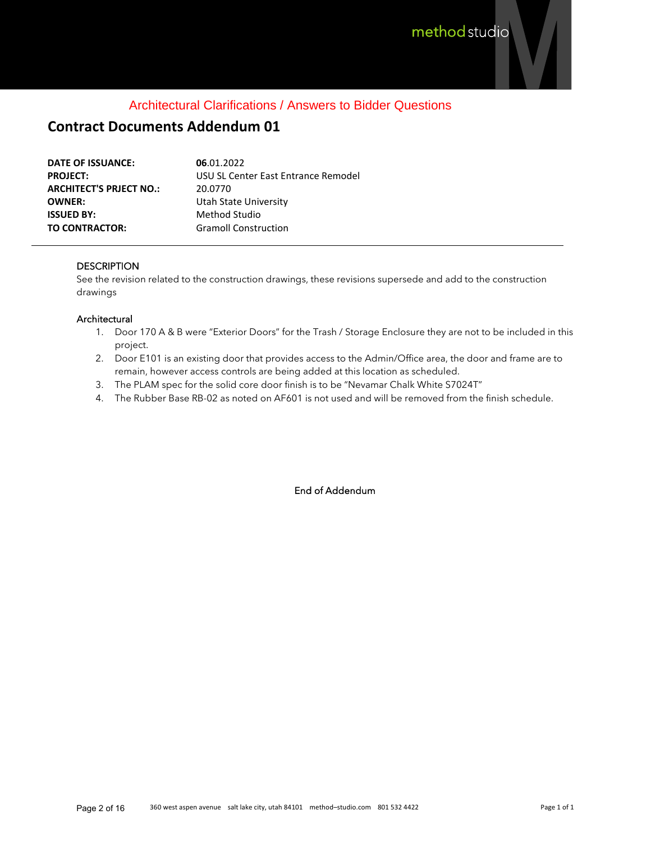## Architectural Clarifications / Answers to Bidder Questions

## **Contract Documents Addendum 01**

| DATE OF ISSUANCE:              | 06.01.2022                          |
|--------------------------------|-------------------------------------|
| <b>PROJECT:</b>                | USU SL Center East Entrance Remodel |
| <b>ARCHITECT'S PRJECT NO.:</b> | 20.0770                             |
| <b>OWNER:</b>                  | Utah State University               |
| <b>ISSUED BY:</b>              | Method Studio                       |
| <b>TO CONTRACTOR:</b>          | <b>Gramoll Construction</b>         |

#### **DESCRIPTION**

See the revision related to the construction drawings, these revisions supersede and add to the construction drawings

#### **Architectural**

- 1. Door 170 A & B were "Exterior Doors" for the Trash / Storage Enclosure they are not to be included in this project.
- 2. Door E101 is an existing door that provides access to the Admin/Office area, the door and frame are to remain, however access controls are being added at this location as scheduled.
- 3. The PLAM spec for the solid core door finish is to be "Nevamar Chalk White S7024T"
- 4. The Rubber Base RB-02 as noted on AF601 is not used and will be removed from the finish schedule.

End of Addendum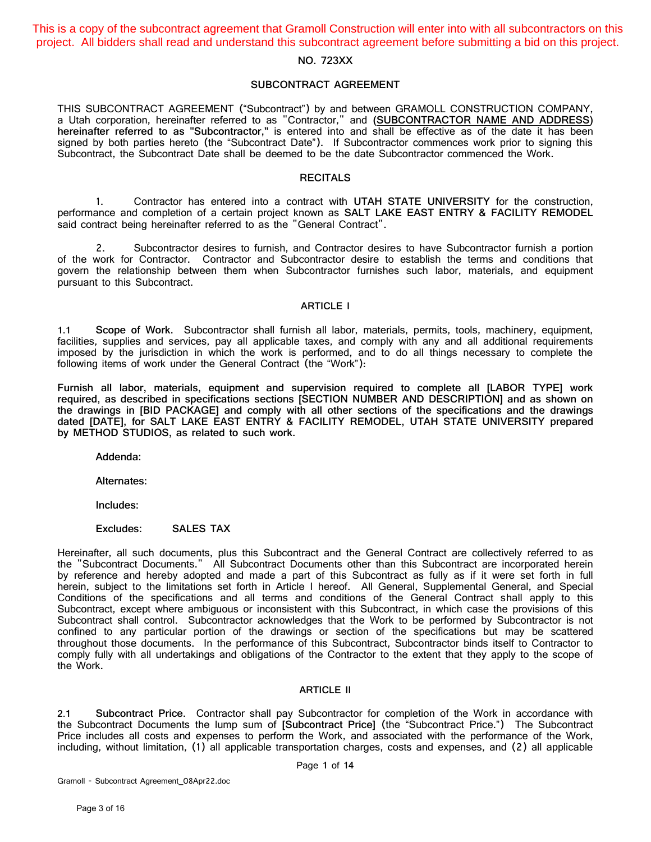This is a copy of the subcontract agreement that Gramoll Construction will enter into with all subcontractors on this project. All bidders shall read and understand this subcontract agreement before submitting a bid on this project.

#### **NO. 723XX**

#### **SUBCONTRACT AGREEMENT**

THIS SUBCONTRACT AGREEMENT ("Subcontract") by and between GRAMOLL CONSTRUCTION COMPANY, a Utah corporation, hereinafter referred to as "Contractor," and **(SUBCONTRACTOR NAME AND ADDRESS) hereinafter referred to as "Subcontractor,"** is entered into and shall be effective as of the date it has been signed by both parties hereto (the "Subcontract Date"). If Subcontractor commences work prior to signing this Subcontract, the Subcontract Date shall be deemed to be the date Subcontractor commenced the Work.

#### **RECITALS**

1. Contractor has entered into a contract with **UTAH STATE UNIVERSITY** for the construction, performance and completion of a certain project known as **SALT LAKE EAST ENTRY & FACILITY REMODEL** said contract being hereinafter referred to as the "General Contract".

2. Subcontractor desires to furnish, and Contractor desires to have Subcontractor furnish a portion of the work for Contractor. Contractor and Subcontractor desire to establish the terms and conditions that govern the relationship between them when Subcontractor furnishes such labor, materials, and equipment pursuant to this Subcontract.

#### **ARTICLE I**

**1.1 Scope of Work.** Subcontractor shall furnish all labor, materials, permits, tools, machinery, equipment, facilities, supplies and services, pay all applicable taxes, and comply with any and all additional requirements imposed by the jurisdiction in which the work is performed, and to do all things necessary to complete the following items of work under the General Contract (the "Work"):

**Furnish all labor, materials, equipment and supervision required to complete all [LABOR TYPE] work required, as described in specifications sections [SECTION NUMBER AND DESCRIPTION] and as shown on the drawings in [BID PACKAGE] and comply with all other sections of the specifications and the drawings dated [DATE], for SALT LAKE EAST ENTRY & FACILITY REMODEL, UTAH STATE UNIVERSITY prepared by METHOD STUDIOS, as related to such work.**

**Addenda:**

**Alternates:**

**Includes:**

**Excludes: SALES TAX**

Hereinafter, all such documents, plus this Subcontract and the General Contract are collectively referred to as the "Subcontract Documents." All Subcontract Documents other than this Subcontract are incorporated herein by reference and hereby adopted and made a part of this Subcontract as fully as if it were set forth in full herein, subject to the limitations set forth in Article I hereof. All General, Supplemental General, and Special Conditions of the specifications and all terms and conditions of the General Contract shall apply to this Subcontract, except where ambiguous or inconsistent with this Subcontract, in which case the provisions of this Subcontract shall control. Subcontractor acknowledges that the Work to be performed by Subcontractor is not confined to any particular portion of the drawings or section of the specifications but may be scattered throughout those documents. In the performance of this Subcontract, Subcontractor binds itself to Contractor to comply fully with all undertakings and obligations of the Contractor to the extent that they apply to the scope of the Work.

#### **ARTICLE II**

**2.1 Subcontract Price.** Contractor shall pay Subcontractor for completion of the Work in accordance with the Subcontract Documents the lump sum of **[Subcontract Price]** (the "Subcontract Price.") The Subcontract Price includes all costs and expenses to perform the Work, and associated with the performance of the Work, including, without limitation, (1) all applicable transportation charges, costs and expenses, and (2) all applicable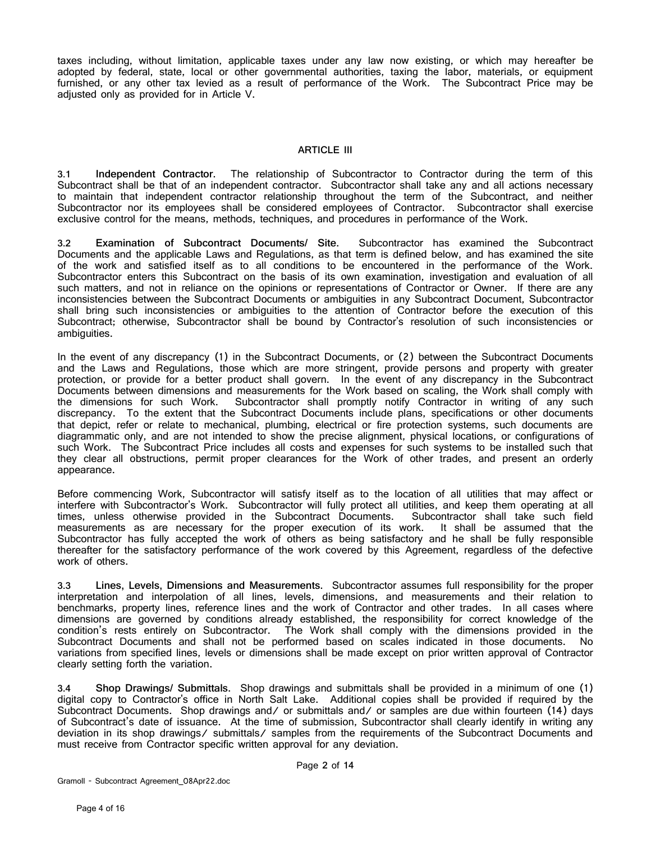taxes including, without limitation, applicable taxes under any law now existing, or which may hereafter be adopted by federal, state, local or other governmental authorities, taxing the labor, materials, or equipment furnished, or any other tax levied as a result of performance of the Work. The Subcontract Price may be adjusted only as provided for in [Article V.](#page-6-0)

#### **ARTICLE III**

**3.1 Independent Contractor.** The relationship of Subcontractor to Contractor during the term of this Subcontract shall be that of an independent contractor. Subcontractor shall take any and all actions necessary to maintain that independent contractor relationship throughout the term of the Subcontract, and neither Subcontractor nor its employees shall be considered employees of Contractor. Subcontractor shall exercise exclusive control for the means, methods, techniques, and procedures in performance of the Work.

**3.2 Examination of Subcontract Documents/ Site.** Subcontractor has examined the Subcontract Documents and the applicable Laws and Regulations, as that term is defined below, and has examined the site of the work and satisfied itself as to all conditions to be encountered in the performance of the Work. Subcontractor enters this Subcontract on the basis of its own examination, investigation and evaluation of all such matters, and not in reliance on the opinions or representations of Contractor or Owner. If there are any inconsistencies between the Subcontract Documents or ambiguities in any Subcontract Document, Subcontractor shall bring such inconsistencies or ambiguities to the attention of Contractor before the execution of this Subcontract; otherwise, Subcontractor shall be bound by Contractor's resolution of such inconsistencies or ambiguities.

In the event of any discrepancy (1) in the Subcontract Documents, or (2) between the Subcontract Documents and the Laws and Regulations, those which are more stringent, provide persons and property with greater protection, or provide for a better product shall govern. In the event of any discrepancy in the Subcontract Documents between dimensions and measurements for the Work based on scaling, the Work shall comply with the dimensions for such Work. Subcontractor shall promptly notify Contractor in writing of any such discrepancy. To the extent that the Subcontract Documents include plans, specifications or other documents that depict, refer or relate to mechanical, plumbing, electrical or fire protection systems, such documents are diagrammatic only, and are not intended to show the precise alignment, physical locations, or configurations of such Work. The Subcontract Price includes all costs and expenses for such systems to be installed such that they clear all obstructions, permit proper clearances for the Work of other trades, and present an orderly appearance.

Before commencing Work, Subcontractor will satisfy itself as to the location of all utilities that may affect or interfere with Subcontractor's Work. Subcontractor will fully protect all utilities, and keep them operating at all times, unless otherwise provided in the Subcontract Documents. Subcontractor shall take such field measurements as are necessary for the proper execution of its work. It shall be assumed that the Subcontractor has fully accepted the work of others as being satisfactory and he shall be fully responsible thereafter for the satisfactory performance of the work covered by this Agreement, regardless of the defective work of others.

**3.3 Lines, Levels, Dimensions and Measurements.** Subcontractor assumes full responsibility for the proper interpretation and interpolation of all lines, levels, dimensions, and measurements and their relation to benchmarks, property lines, reference lines and the work of Contractor and other trades. In all cases where dimensions are governed by conditions already established, the responsibility for correct knowledge of the condition's rests entirely on Subcontractor. The Work shall comply with the dimensions provided in the Subcontract Documents and shall not be performed based on scales indicated in those documents. No variations from specified lines, levels or dimensions shall be made except on prior written approval of Contractor clearly setting forth the variation.

**3.4 Shop Drawings/ Submittals.** Shop drawings and submittals shall be provided in a minimum of one (1) digital copy to Contractor's office in North Salt Lake. Additional copies shall be provided if required by the Subcontract Documents. Shop drawings and/ or submittals and/ or samples are due within fourteen (14) days of Subcontract's date of issuance. At the time of submission, Subcontractor shall clearly identify in writing any deviation in its shop drawings/ submittals/ samples from the requirements of the Subcontract Documents and must receive from Contractor specific written approval for any deviation.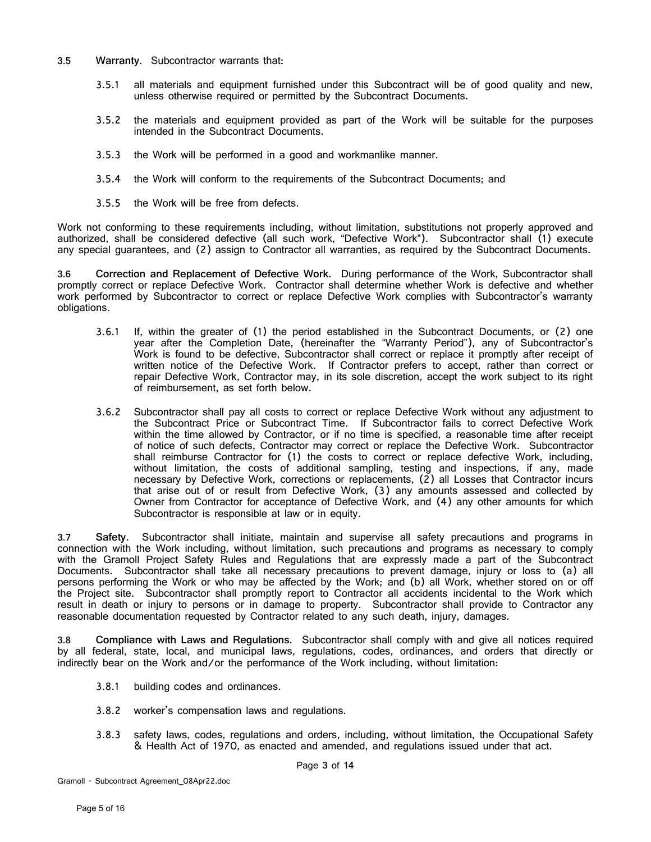- **3.5 Warranty.** Subcontractor warrants that:
	- 3.5.1 all materials and equipment furnished under this Subcontract will be of good quality and new, unless otherwise required or permitted by the Subcontract Documents.
	- 3.5.2 the materials and equipment provided as part of the Work will be suitable for the purposes intended in the Subcontract Documents.
	- 3.5.3 the Work will be performed in a good and workmanlike manner.
	- 3.5.4 the Work will conform to the requirements of the Subcontract Documents; and
	- 3.5.5 the Work will be free from defects.

Work not conforming to these requirements including, without limitation, substitutions not properly approved and authorized, shall be considered defective (all such work, "Defective Work"). Subcontractor shall (1) execute any special guarantees, and (2) assign to Contractor all warranties, as required by the Subcontract Documents.

**3.6 Correction and Replacement of Defective Work.** During performance of the Work, Subcontractor shall promptly correct or replace Defective Work. Contractor shall determine whether Work is defective and whether work performed by Subcontractor to correct or replace Defective Work complies with Subcontractor's warranty obligations.

- 3.6.1 If, within the greater of (1) the period established in the Subcontract Documents, or (2) one year after the Completion Date, (hereinafter the "Warranty Period"), any of Subcontractor's Work is found to be defective, Subcontractor shall correct or replace it promptly after receipt of written notice of the Defective Work. If Contractor prefers to accept, rather than correct or repair Defective Work, Contractor may, in its sole discretion, accept the work subject to its right of reimbursement, as set forth below.
- 3.6.2 Subcontractor shall pay all costs to correct or replace Defective Work without any adjustment to the Subcontract Price or Subcontract Time. If Subcontractor fails to correct Defective Work within the time allowed by Contractor, or if no time is specified, a reasonable time after receipt of notice of such defects, Contractor may correct or replace the Defective Work. Subcontractor shall reimburse Contractor for (1) the costs to correct or replace defective Work, including, without limitation, the costs of additional sampling, testing and inspections, if any, made necessary by Defective Work, corrections or replacements, (2) all Losses that Contractor incurs that arise out of or result from Defective Work, (3) any amounts assessed and collected by Owner from Contractor for acceptance of Defective Work, and (4) any other amounts for which Subcontractor is responsible at law or in equity.

**3.7 Safety.** Subcontractor shall initiate, maintain and supervise all safety precautions and programs in connection with the Work including, without limitation, such precautions and programs as necessary to comply with the Gramoll Project Safety Rules and Regulations that are expressly made a part of the Subcontract Documents. Subcontractor shall take all necessary precautions to prevent damage, injury or loss to (a) all persons performing the Work or who may be affected by the Work; and (b) all Work, whether stored on or off the Project site. Subcontractor shall promptly report to Contractor all accidents incidental to the Work which result in death or injury to persons or in damage to property. Subcontractor shall provide to Contractor any reasonable documentation requested by Contractor related to any such death, injury, damages.

**3.8 Compliance with Laws and Regulations.** Subcontractor shall comply with and give all notices required by all federal, state, local, and municipal laws, regulations, codes, ordinances, and orders that directly or indirectly bear on the Work and/or the performance of the Work including, without limitation:

- 3.8.1 building codes and ordinances.
- 3.8.2 worker's compensation laws and regulations.
- 3.8.3 safety laws, codes, regulations and orders, including, without limitation, the Occupational Safety & Health Act of 1970, as enacted and amended, and regulations issued under that act.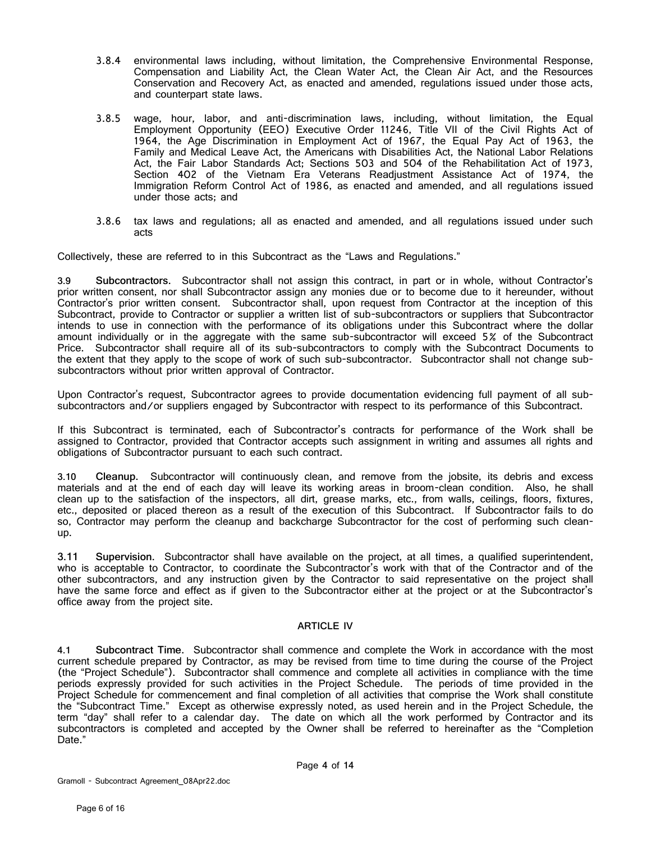- 3.8.4 environmental laws including, without limitation, the Comprehensive Environmental Response, Compensation and Liability Act, the Clean Water Act, the Clean Air Act, and the Resources Conservation and Recovery Act, as enacted and amended, regulations issued under those acts, and counterpart state laws.
- 3.8.5 wage, hour, labor, and anti-discrimination laws, including, without limitation, the Equal Employment Opportunity (EEO) Executive Order 11246, Title VII of the Civil Rights Act of 1964, the Age Discrimination in Employment Act of 1967, the Equal Pay Act of 1963, the Family and Medical Leave Act, the Americans with Disabilities Act, the National Labor Relations Act, the Fair Labor Standards Act; Sections 503 and 504 of the Rehabilitation Act of 1973, Section 402 of the Vietnam Era Veterans Readjustment Assistance Act of 1974, the Immigration Reform Control Act of 1986, as enacted and amended, and all regulations issued under those acts; and
- 3.8.6 tax laws and regulations; all as enacted and amended, and all regulations issued under such acts

Collectively, these are referred to in this Subcontract as the "Laws and Regulations."

<span id="page-5-0"></span>**3.9 Subcontractors.** Subcontractor shall not assign this contract, in part or in whole, without Contractor's prior written consent, nor shall Subcontractor assign any monies due or to become due to it hereunder, without Contractor's prior written consent. Subcontractor shall, upon request from Contractor at the inception of this Subcontract, provide to Contractor or supplier a written list of sub-subcontractors or suppliers that Subcontractor intends to use in connection with the performance of its obligations under this Subcontract where the dollar amount individually or in the aggregate with the same sub-subcontractor will exceed 5% of the Subcontract Price. Subcontractor shall require all of its sub-subcontractors to comply with the Subcontract Documents to the extent that they apply to the scope of work of such sub-subcontractor. Subcontractor shall not change subsubcontractors without prior written approval of Contractor.

Upon Contractor's request, Subcontractor agrees to provide documentation evidencing full payment of all subsubcontractors and/or suppliers engaged by Subcontractor with respect to its performance of this Subcontract.

If this Subcontract is terminated, each of Subcontractor's contracts for performance of the Work shall be assigned to Contractor, provided that Contractor accepts such assignment in writing and assumes all rights and obligations of Subcontractor pursuant to each such contract.

**3.10 Cleanup.** Subcontractor will continuously clean, and remove from the jobsite, its debris and excess materials and at the end of each day will leave its working areas in broom-clean condition. Also, he shall clean up to the satisfaction of the inspectors, all dirt, grease marks, etc., from walls, ceilings, floors, fixtures, etc., deposited or placed thereon as a result of the execution of this Subcontract. If Subcontractor fails to do so, Contractor may perform the cleanup and backcharge Subcontractor for the cost of performing such cleanup.

**3.11 Supervision.** Subcontractor shall have available on the project, at all times, a qualified superintendent, who is acceptable to Contractor, to coordinate the Subcontractor's work with that of the Contractor and of the other subcontractors, and any instruction given by the Contractor to said representative on the project shall have the same force and effect as if given to the Subcontractor either at the project or at the Subcontractor's office away from the project site.

#### **ARTICLE IV**

**4.1 Subcontract Time.** Subcontractor shall commence and complete the Work in accordance with the most current schedule prepared by Contractor, as may be revised from time to time during the course of the Project (the "Project Schedule"). Subcontractor shall commence and complete all activities in compliance with the time periods expressly provided for such activities in the Project Schedule. The periods of time provided in the Project Schedule for commencement and final completion of all activities that comprise the Work shall constitute the "Subcontract Time." Except as otherwise expressly noted, as used herein and in the Project Schedule, the term "day" shall refer to a calendar day. The date on which all the work performed by Contractor and its subcontractors is completed and accepted by the Owner shall be referred to hereinafter as the "Completion Date."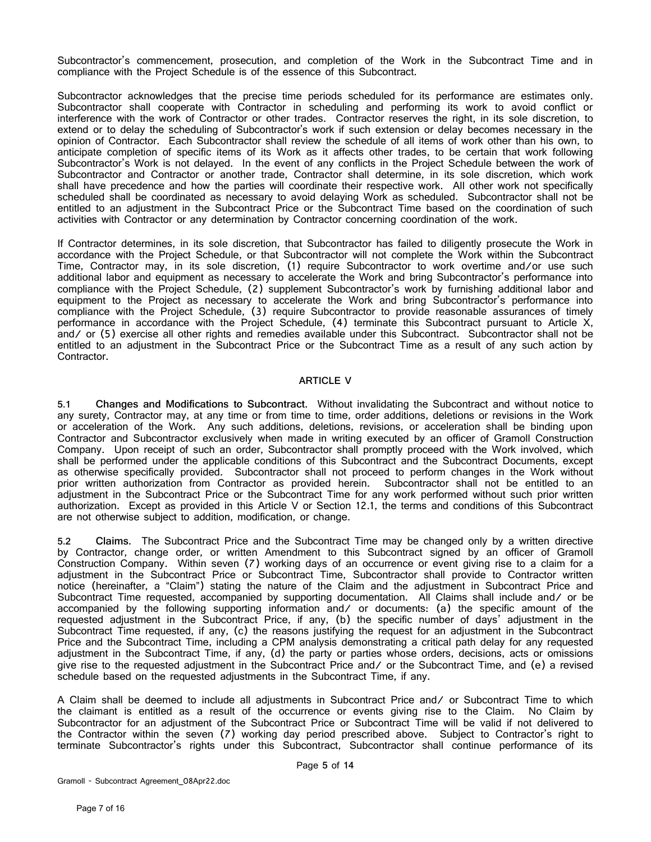Subcontractor's commencement, prosecution, and completion of the Work in the Subcontract Time and in compliance with the Project Schedule is of the essence of this Subcontract.

Subcontractor acknowledges that the precise time periods scheduled for its performance are estimates only. Subcontractor shall cooperate with Contractor in scheduling and performing its work to avoid conflict or interference with the work of Contractor or other trades. Contractor reserves the right, in its sole discretion, to extend or to delay the scheduling of Subcontractor's work if such extension or delay becomes necessary in the opinion of Contractor. Each Subcontractor shall review the schedule of all items of work other than his own, to anticipate completion of specific items of its Work as it affects other trades, to be certain that work following Subcontractor's Work is not delayed. In the event of any conflicts in the Project Schedule between the work of Subcontractor and Contractor or another trade, Contractor shall determine, in its sole discretion, which work shall have precedence and how the parties will coordinate their respective work. All other work not specifically scheduled shall be coordinated as necessary to avoid delaying Work as scheduled. Subcontractor shall not be entitled to an adjustment in the Subcontract Price or the Subcontract Time based on the coordination of such activities with Contractor or any determination by Contractor concerning coordination of the work.

If Contractor determines, in its sole discretion, that Subcontractor has failed to diligently prosecute the Work in accordance with the Project Schedule, or that Subcontractor will not complete the Work within the Subcontract Time, Contractor may, in its sole discretion, (1) require Subcontractor to work overtime and/or use such additional labor and equipment as necessary to accelerate the Work and bring Subcontractor's performance into compliance with the Project Schedule, (2) supplement Subcontractor's work by furnishing additional labor and equipment to the Project as necessary to accelerate the Work and bring Subcontractor's performance into compliance with the Project Schedule, (3) require Subcontractor to provide reasonable assurances of timely performance in accordance with the Project Schedule, (4) terminate this Subcontract pursuant to [Article X,](#page-12-0) and/ or (5) exercise all other rights and remedies available under this Subcontract. Subcontractor shall not be entitled to an adjustment in the Subcontract Price or the Subcontract Time as a result of any such action by Contractor.

#### **ARTICLE V**

<span id="page-6-0"></span>**5.1 Changes and Modifications to Subcontract.** Without invalidating the Subcontract and without notice to any surety, Contractor may, at any time or from time to time, order additions, deletions or revisions in the Work or acceleration of the Work. Any such additions, deletions, revisions, or acceleration shall be binding upon Contractor and Subcontractor exclusively when made in writing executed by an officer of Gramoll Construction Company. Upon receipt of such an order, Subcontractor shall promptly proceed with the Work involved, which shall be performed under the applicable conditions of this Subcontract and the Subcontract Documents, except as otherwise specifically provided. Subcontractor shall not proceed to perform changes in the Work without prior written authorization from Contractor as provided herein. Subcontractor shall not be entitled to an adjustment in the Subcontract Price or the Subcontract Time for any work performed without such prior written authorization. Except as provided in this [Article V](#page-6-0) or Section [12.1,](#page-14-0) the terms and conditions of this Subcontract are not otherwise subject to addition, modification, or change.

<span id="page-6-1"></span>**5.2 Claims.** The Subcontract Price and the Subcontract Time may be changed only by a written directive by Contractor, change order, or written Amendment to this Subcontract signed by an officer of Gramoll Construction Company. Within seven (7) working days of an occurrence or event giving rise to a claim for a adjustment in the Subcontract Price or Subcontract Time, Subcontractor shall provide to Contractor written notice (hereinafter, a "Claim") stating the nature of the Claim and the adjustment in Subcontract Price and Subcontract Time requested, accompanied by supporting documentation. All Claims shall include and/ or be accompanied by the following supporting information and/ or documents: (a) the specific amount of the requested adjustment in the Subcontract Price, if any, (b) the specific number of days' adjustment in the Subcontract Time requested, if any, (c) the reasons justifying the request for an adjustment in the Subcontract Price and the Subcontract Time, including a CPM analysis demonstrating a critical path delay for any requested adjustment in the Subcontract Time, if any, (d) the party or parties whose orders, decisions, acts or omissions give rise to the requested adjustment in the Subcontract Price and/ or the Subcontract Time, and (e) a revised schedule based on the requested adjustments in the Subcontract Time, if any.

A Claim shall be deemed to include all adjustments in Subcontract Price and/ or Subcontract Time to which the claimant is entitled as a result of the occurrence or events giving rise to the Claim. No Claim by Subcontractor for an adjustment of the Subcontract Price or Subcontract Time will be valid if not delivered to the Contractor within the seven (7) working day period prescribed above. Subject to Contractor's right to terminate Subcontractor's rights under this Subcontract, Subcontractor shall continue performance of its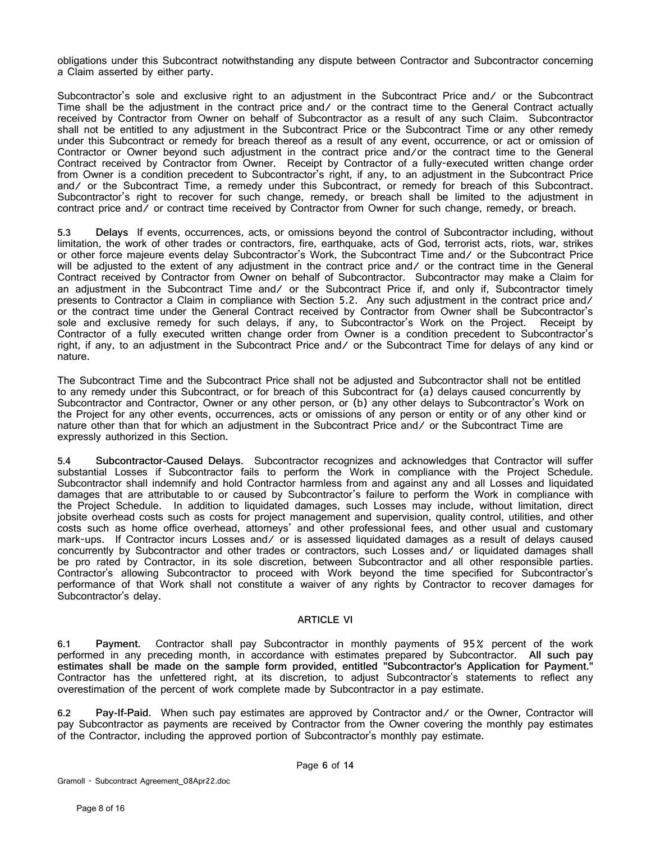obligations under this Subcontract notwithstanding any dispute between Contractor and Subcontractor concerning a Claim asserted by either party.

Subcontractor's sole and exclusive right to an adjustment in the Subcontract Price and/ or the Subcontract Time shall be the adjustment in the contract price and/ or the contract time to the General Contract actually received by Contractor from Owner on behalf of Subcontractor as a result of any such Claim. Subcontractor shall not be entitled to any adjustment in the Subcontract Price or the Subcontract Time or any other remedy under this Subcontract or remedy for breach thereof as a result of any event, occurrence, or act or omission of Contractor or Owner beyond such adjustment in the contract price and/or the contract time to the General Contract received by Contractor from Owner. Receipt by Contractor of a fully-executed written change order from Owner is a condition precedent to Subcontractor's right, if any, to an adjustment in the Subcontract Price and/ or the Subcontract Time, a remedy under this Subcontract, or remedy for breach of this Subcontract. Subcontractor's right to recover for such change, remedy, or breach shall be limited to the adjustment in contract price and or contract time received by Contractor from Owner for such change, remedy, or breach.

**5.3 Delays** If events, occurrences, acts, or omissions beyond the control of Subcontractor including, without limitation, the work of other trades or contractors, fire, earthquake, acts of God, terrorist acts, riots, war, strikes or other force majeure events delay Subcontractor's Work, the Subcontract Time and/ or the Subcontract Price will be adjusted to the extent of any adjustment in the contract price and/ or the contract time in the General Contract received by Contractor from Owner on behalf of Subcontractor. Subcontractor may make a Claim for an adjustment in the Subcontract Time and/ or the Subcontract Price if, and only if, Subcontractor timely presents to Contractor a Claim in compliance with Section [5.2.](#page-6-1) Any such adjustment in the contract price and/ or the contract time under the General Contract received by Contractor from Owner shall be Subcontractor's sole and exclusive remedy for such delays, if any, to Subcontractor's Work on the Project. Receipt by Contractor of a fully executed written change order from Owner is a condition precedent to Subcontractor's right, if any, to an adjustment in the Subcontract Price and/ or the Subcontract Time for delays of any kind or nature.

The Subcontract Time and the Subcontract Price shall not be adjusted and Subcontractor shall not be entitled to any remedy under this Subcontract, or for breach of this Subcontract for (a) delays caused concurrently by Subcontractor and Contractor, Owner or any other person, or (b) any other delays to Subcontractor's Work on the Project for any other events, occurrences, acts or omissions of any person or entity or of any other kind or nature other than that for which an adjustment in the Subcontract Price and/ or the Subcontract Time are expressly authorized in this Section.

**5.4 Subcontractor-Caused Delays.** Subcontractor recognizes and acknowledges that Contractor will suffer substantial Losses if Subcontractor fails to perform the Work in compliance with the Project Schedule. Subcontractor shall indemnify and hold Contractor harmless from and against any and all Losses and liquidated damages that are attributable to or caused by Subcontractor's failure to perform the Work in compliance with the Project Schedule. In addition to liquidated damages, such Losses may include, without limitation, direct jobsite overhead costs such as costs for project management and supervision, quality control, utilities, and other costs such as home office overhead, attorneys' and other professional fees, and other usual and customary mark-ups. If Contractor incurs Losses and/ or is assessed liquidated damages as a result of delays caused concurrently by Subcontractor and other trades or contractors, such Losses and/ or liquidated damages shall be pro rated by Contractor, in its sole discretion, between Subcontractor and all other responsible parties. Contractor's allowing Subcontractor to proceed with Work beyond the time specified for Subcontractor's performance of that Work shall not constitute a waiver of any rights by Contractor to recover damages for Subcontractor's delay.

#### **ARTICLE VI**

**6.1 Payment.** Contractor shall pay Subcontractor in monthly payments of 95% percent of the work performed in any preceding month, in accordance with estimates prepared by Subcontractor. **All such pay estimates shall be made on the sample form provided, entitled "Subcontractor's Application for Payment."**  Contractor has the unfettered right, at its discretion, to adjust Subcontractor's statements to reflect any overestimation of the percent of work complete made by Subcontractor in a pay estimate.

<span id="page-7-0"></span>**6.2 Pay-If-Paid.** When such pay estimates are approved by Contractor and/ or the Owner, Contractor will pay Subcontractor as payments are received by Contractor from the Owner covering the monthly pay estimates of the Contractor, including the approved portion of Subcontractor's monthly pay estimate.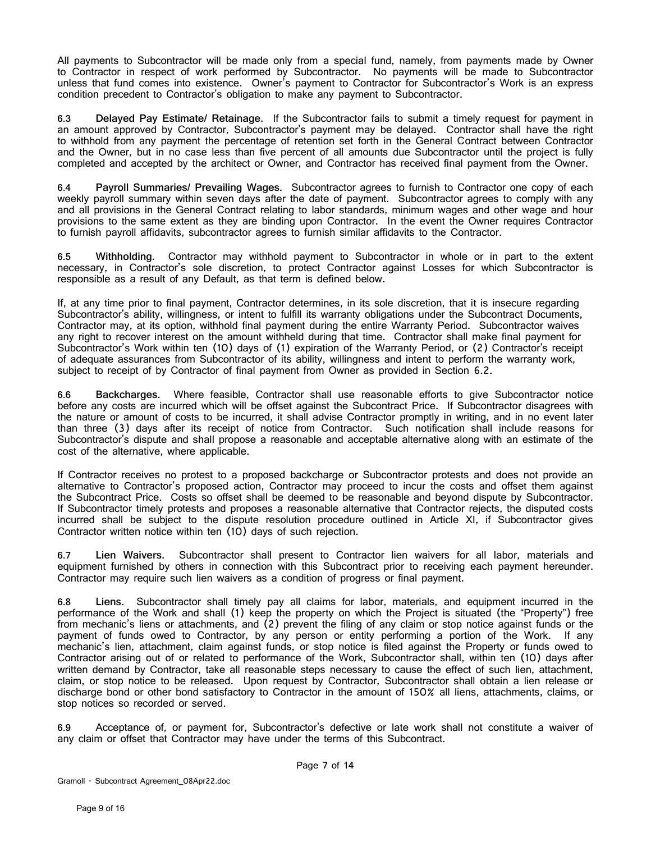All payments to Subcontractor will be made only from a special fund, namely, from payments made by Owner to Contractor in respect of work performed by Subcontractor. No payments will be made to Subcontractor unless that fund comes into existence. Owner's payment to Contractor for Subcontractor's Work is an express condition precedent to Contractor's obligation to make any payment to Subcontractor.

**6.3 Delayed Pay Estimate/ Retainage.** If the Subcontractor fails to submit a timely request for payment in an amount approved by Contractor, Subcontractor's payment may be delayed. Contractor shall have the right to withhold from any payment the percentage of retention set forth in the General Contract between Contractor and the Owner, but in no case less than five percent of all amounts due Subcontractor until the project is fully completed and accepted by the architect or Owner, and Contractor has received final payment from the Owner.

**6.4 Payroll Summaries/ Prevailing Wages.** Subcontractor agrees to furnish to Contractor one copy of each weekly payroll summary within seven days after the date of payment. Subcontractor agrees to comply with any and all provisions in the General Contract relating to labor standards, minimum wages and other wage and hour provisions to the same extent as they are binding upon Contractor. In the event the Owner requires Contractor to furnish payroll affidavits, subcontractor agrees to furnish similar affidavits to the Contractor.

**6.5 Withholding.** Contractor may withhold payment to Subcontractor in whole or in part to the extent necessary, in Contractor's sole discretion, to protect Contractor against Losses for which Subcontractor is responsible as a result of any Default, as that term is defined below.

If, at any time prior to final payment, Contractor determines, in its sole discretion, that it is insecure regarding Subcontractor's ability, willingness, or intent to fulfill its warranty obligations under the Subcontract Documents, Contractor may, at its option, withhold final payment during the entire Warranty Period. Subcontractor waives any right to recover interest on the amount withheld during that time. Contractor shall make final payment for Subcontractor's Work within ten (10) days of (1) expiration of the Warranty Period, or (2) Contractor's receipt of adequate assurances from Subcontractor of its ability, willingness and intent to perform the warranty work, subject to receipt of by Contractor of final payment from Owner as provided in Section [6.2.](#page-7-0)

**6.6 Backcharges.** Where feasible, Contractor shall use reasonable efforts to give Subcontractor notice before any costs are incurred which will be offset against the Subcontract Price. If Subcontractor disagrees with the nature or amount of costs to be incurred, it shall advise Contractor promptly in writing, and in no event later than three (3) days after its receipt of notice from Contractor. Such notification shall include reasons for Subcontractor's dispute and shall propose a reasonable and acceptable alternative along with an estimate of the cost of the alternative, where applicable.

If Contractor receives no protest to a proposed backcharge or Subcontractor protests and does not provide an alternative to Contractor's proposed action, Contractor may proceed to incur the costs and offset them against the Subcontract Price. Costs so offset shall be deemed to be reasonable and beyond dispute by Subcontractor. If Subcontractor timely protests and proposes a reasonable alternative that Contractor rejects, the disputed costs incurred shall be subject to the dispute resolution procedure outlined in [Article XI,](#page-13-0) if Subcontractor gives Contractor written notice within ten (10) days of such rejection.

**6.7 Lien Waivers.** Subcontractor shall present to Contractor lien waivers for all labor, materials and equipment furnished by others in connection with this Subcontract prior to receiving each payment hereunder. Contractor may require such lien waivers as a condition of progress or final payment.

**6.8 Liens**. Subcontractor shall timely pay all claims for labor, materials, and equipment incurred in the performance of the Work and shall (1) keep the property on which the Project is situated (the "Property") free from mechanic's liens or attachments, and (2) prevent the filing of any claim or stop notice against funds or the payment of funds owed to Contractor, by any person or entity performing a portion of the Work. If any mechanic's lien, attachment, claim against funds, or stop notice is filed against the Property or funds owed to Contractor arising out of or related to performance of the Work, Subcontractor shall, within ten (10) days after written demand by Contractor, take all reasonable steps necessary to cause the effect of such lien, attachment, claim, or stop notice to be released. Upon request by Contractor, Subcontractor shall obtain a lien release or discharge bond or other bond satisfactory to Contractor in the amount of 150% all liens, attachments, claims, or stop notices so recorded or served.

**6.9** Acceptance of, or payment for, Subcontractor's defective or late work shall not constitute a waiver of any claim or offset that Contractor may have under the terms of this Subcontract.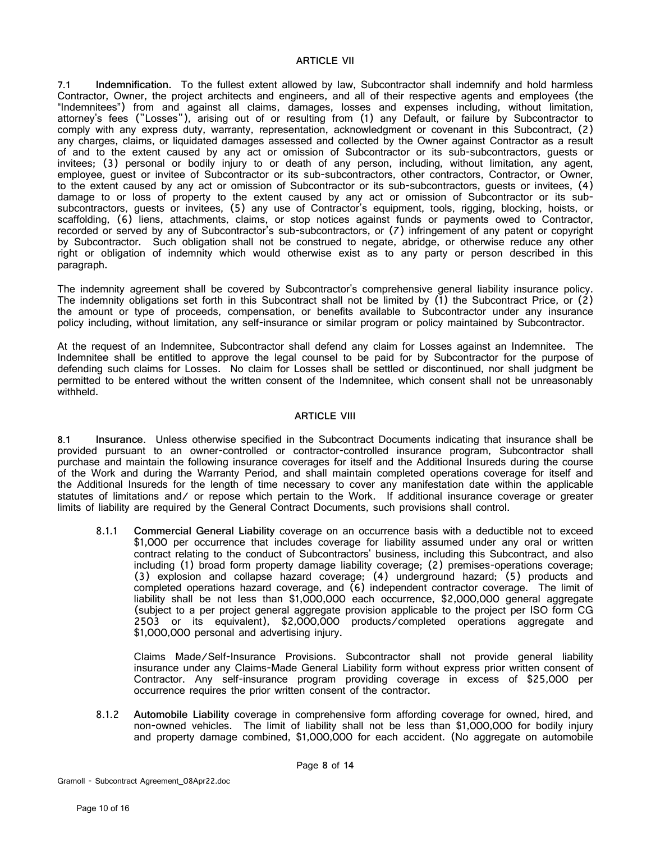#### **ARTICLE VII**

**7.1 Indemnification.** To the fullest extent allowed by law, Subcontractor shall indemnify and hold harmless Contractor, Owner, the project architects and engineers, and all of their respective agents and employees (the "Indemnitees") from and against all claims, damages, losses and expenses including, without limitation, attorney's fees ("Losses"), arising out of or resulting from (1) any Default, or failure by Subcontractor to comply with any express duty, warranty, representation, acknowledgment or covenant in this Subcontract, (2) any charges, claims, or liquidated damages assessed and collected by the Owner against Contractor as a result of and to the extent caused by any act or omission of Subcontractor or its sub-subcontractors, guests or invitees; (3) personal or bodily injury to or death of any person, including, without limitation, any agent, employee, guest or invitee of Subcontractor or its sub-subcontractors, other contractors, Contractor, or Owner, to the extent caused by any act or omission of Subcontractor or its sub-subcontractors, guests or invitees, (4) damage to or loss of property to the extent caused by any act or omission of Subcontractor or its subsubcontractors, guests or invitees, (5) any use of Contractor's equipment, tools, rigging, blocking, hoists, or scaffolding, (6) liens, attachments, claims, or stop notices against funds or payments owed to Contractor, recorded or served by any of Subcontractor's sub-subcontractors, or (7) infringement of any patent or copyright by Subcontractor. Such obligation shall not be construed to negate, abridge, or otherwise reduce any other right or obligation of indemnity which would otherwise exist as to any party or person described in this paragraph.

The indemnity agreement shall be covered by Subcontractor's comprehensive general liability insurance policy. The indemnity obligations set forth in this Subcontract shall not be limited by (1) the Subcontract Price, or (2) the amount or type of proceeds, compensation, or benefits available to Subcontractor under any insurance policy including, without limitation, any self-insurance or similar program or policy maintained by Subcontractor.

At the request of an Indemnitee, Subcontractor shall defend any claim for Losses against an Indemnitee. The Indemnitee shall be entitled to approve the legal counsel to be paid for by Subcontractor for the purpose of defending such claims for Losses. No claim for Losses shall be settled or discontinued, nor shall judgment be permitted to be entered without the written consent of the Indemnitee, which consent shall not be unreasonably withheld.

#### **ARTICLE VIII**

**8.1 Insurance**. Unless otherwise specified in the Subcontract Documents indicating that insurance shall be provided pursuant to an owner-controlled or contractor-controlled insurance program, Subcontractor shall purchase and maintain the following insurance coverages for itself and the Additional Insureds during the course of the Work and during the Warranty Period, and shall maintain completed operations coverage for itself and the Additional Insureds for the length of time necessary to cover any manifestation date within the applicable statutes of limitations and/ or repose which pertain to the Work. If additional insurance coverage or greater limits of liability are required by the General Contract Documents, such provisions shall control.

8.1.1 **Commercial General Liability** coverage on an occurrence basis with a deductible not to exceed \$1,000 per occurrence that includes coverage for liability assumed under any oral or written contract relating to the conduct of Subcontractors' business, including this Subcontract, and also including (1) broad form property damage liability coverage; (2) premises-operations coverage; (3) explosion and collapse hazard coverage; (4) underground hazard; (5) products and completed operations hazard coverage, and (6) independent contractor coverage. The limit of liability shall be not less than \$1,000,000 each occurrence, \$2,000,000 general aggregate (subject to a per project general aggregate provision applicable to the project per ISO form CG 2503 or its equivalent), \$2,000,000 products/completed operations aggregate and \$1,000,000 personal and advertising injury.

Claims Made/Self-Insurance Provisions. Subcontractor shall not provide general liability insurance under any Claims-Made General Liability form without express prior written consent of Contractor. Any self-insurance program providing coverage in excess of \$25,000 per occurrence requires the prior written consent of the contractor.

8.1.2 **Automobile Liability** coverage in comprehensive form affording coverage for owned, hired, and non-owned vehicles. The limit of liability shall not be less than \$1,000,000 for bodily injury and property damage combined, \$1,000,000 for each accident. (No aggregate on automobile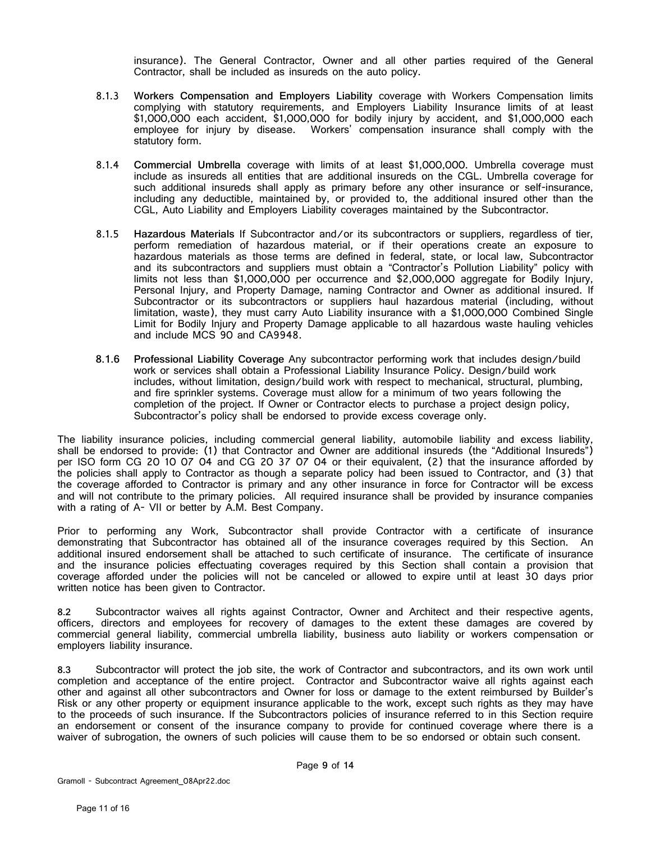insurance). The General Contractor, Owner and all other parties required of the General Contractor, shall be included as insureds on the auto policy.

- 8.1.3 **Workers Compensation and Employers Liability** coverage with Workers Compensation limits complying with statutory requirements, and Employers Liability Insurance limits of at least \$1,000,000 each accident, \$1,000,000 for bodily injury by accident, and \$1,000,000 each employee for injury by disease. Workers' compensation insurance shall comply with the statutory form.
- 8.1.4 **Commercial Umbrella** coverage with limits of at least \$1,000,000. Umbrella coverage must include as insureds all entities that are additional insureds on the CGL. Umbrella coverage for such additional insureds shall apply as primary before any other insurance or self-insurance, including any deductible, maintained by, or provided to, the additional insured other than the CGL, Auto Liability and Employers Liability coverages maintained by the Subcontractor.
- 8.1.5 **Hazardous Materials** If Subcontractor and/or its subcontractors or suppliers, regardless of tier, perform remediation of hazardous material, or if their operations create an exposure to hazardous materials as those terms are defined in federal, state, or local law, Subcontractor and its subcontractors and suppliers must obtain a "Contractor's Pollution Liability" policy with limits not less than \$1,000,000 per occurrence and \$2,000,000 aggregate for Bodily Injury, Personal Injury, and Property Damage, naming Contractor and Owner as additional insured. If Subcontractor or its subcontractors or suppliers haul hazardous material (including, without limitation, waste), they must carry Auto Liability insurance with a \$1,000,000 Combined Single Limit for Bodily Injury and Property Damage applicable to all hazardous waste hauling vehicles and include MCS 90 and CA9948.
- **8.1.6 Professional Liability Coverage** Any subcontractor performing work that includes design/build work or services shall obtain a Professional Liability Insurance Policy. Design/build work includes, without limitation, design/build work with respect to mechanical, structural, plumbing, and fire sprinkler systems. Coverage must allow for a minimum of two years following the completion of the project. If Owner or Contractor elects to purchase a project design policy, Subcontractor's policy shall be endorsed to provide excess coverage only.

The liability insurance policies, including commercial general liability, automobile liability and excess liability, shall be endorsed to provide: (1) that Contractor and Owner are additional insureds (the "Additional Insureds") per ISO form CG 20 10 07 04 and CG 20 37 07 04 or their equivalent, (2) that the insurance afforded by the policies shall apply to Contractor as though a separate policy had been issued to Contractor, and (3) that the coverage afforded to Contractor is primary and any other insurance in force for Contractor will be excess and will not contribute to the primary policies. All required insurance shall be provided by insurance companies with a rating of A- VII or better by A.M. Best Company.

Prior to performing any Work, Subcontractor shall provide Contractor with a certificate of insurance demonstrating that Subcontractor has obtained all of the insurance coverages required by this Section. An additional insured endorsement shall be attached to such certificate of insurance. The certificate of insurance and the insurance policies effectuating coverages required by this Section shall contain a provision that coverage afforded under the policies will not be canceled or allowed to expire until at least 30 days prior written notice has been given to Contractor.

**8.2** Subcontractor waives all rights against Contractor, Owner and Architect and their respective agents, officers, directors and employees for recovery of damages to the extent these damages are covered by commercial general liability, commercial umbrella liability, business auto liability or workers compensation or employers liability insurance.

**8.3** Subcontractor will protect the job site, the work of Contractor and subcontractors, and its own work until completion and acceptance of the entire project. Contractor and Subcontractor waive all rights against each other and against all other subcontractors and Owner for loss or damage to the extent reimbursed by Builder's Risk or any other property or equipment insurance applicable to the work, except such rights as they may have to the proceeds of such insurance. If the Subcontractors policies of insurance referred to in this Section require an endorsement or consent of the insurance company to provide for continued coverage where there is a waiver of subrogation, the owners of such policies will cause them to be so endorsed or obtain such consent.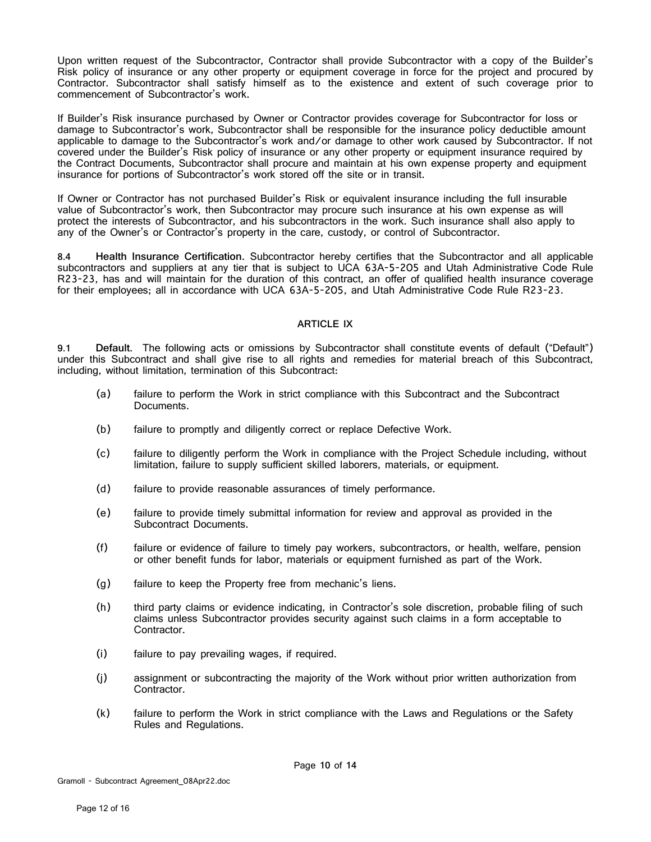Upon written request of the Subcontractor, Contractor shall provide Subcontractor with a copy of the Builder's Risk policy of insurance or any other property or equipment coverage in force for the project and procured by Contractor. Subcontractor shall satisfy himself as to the existence and extent of such coverage prior to commencement of Subcontractor's work.

If Builder's Risk insurance purchased by Owner or Contractor provides coverage for Subcontractor for loss or damage to Subcontractor's work, Subcontractor shall be responsible for the insurance policy deductible amount applicable to damage to the Subcontractor's work and/or damage to other work caused by Subcontractor. If not covered under the Builder's Risk policy of insurance or any other property or equipment insurance required by the Contract Documents, Subcontractor shall procure and maintain at his own expense property and equipment insurance for portions of Subcontractor's work stored off the site or in transit.

If Owner or Contractor has not purchased Builder's Risk or equivalent insurance including the full insurable value of Subcontractor's work, then Subcontractor may procure such insurance at his own expense as will protect the interests of Subcontractor, and his subcontractors in the work. Such insurance shall also apply to any of the Owner's or Contractor's property in the care, custody, or control of Subcontractor.

**8.4 Health Insurance Certification.** Subcontractor hereby certifies that the Subcontractor and all applicable subcontractors and suppliers at any tier that is subject to UCA 63A-5-205 and Utah Administrative Code Rule R23-23, has and will maintain for the duration of this contract, an offer of qualified health insurance coverage for their employees; all in accordance with UCA 63A-5-205, and Utah Administrative Code Rule R23-23.

#### **ARTICLE IX**

**9.1 Default.** The following acts or omissions by Subcontractor shall constitute events of default ("Default") under this Subcontract and shall give rise to all rights and remedies for material breach of this Subcontract, including, without limitation, termination of this Subcontract:

- (a) failure to perform the Work in strict compliance with this Subcontract and the Subcontract Documents.
- (b) failure to promptly and diligently correct or replace Defective Work.
- (c) failure to diligently perform the Work in compliance with the Project Schedule including, without limitation, failure to supply sufficient skilled laborers, materials, or equipment.
- (d) failure to provide reasonable assurances of timely performance.
- (e) failure to provide timely submittal information for review and approval as provided in the Subcontract Documents.
- (f) failure or evidence of failure to timely pay workers, subcontractors, or health, welfare, pension or other benefit funds for labor, materials or equipment furnished as part of the Work.
- (g) failure to keep the Property free from mechanic's liens.
- (h) third party claims or evidence indicating, in Contractor's sole discretion, probable filing of such claims unless Subcontractor provides security against such claims in a form acceptable to Contractor.
- (i) failure to pay prevailing wages, if required.
- (j) assignment or subcontracting the majority of the Work without prior written authorization from Contractor.
- (k) failure to perform the Work in strict compliance with the Laws and Regulations or the Safety Rules and Regulations.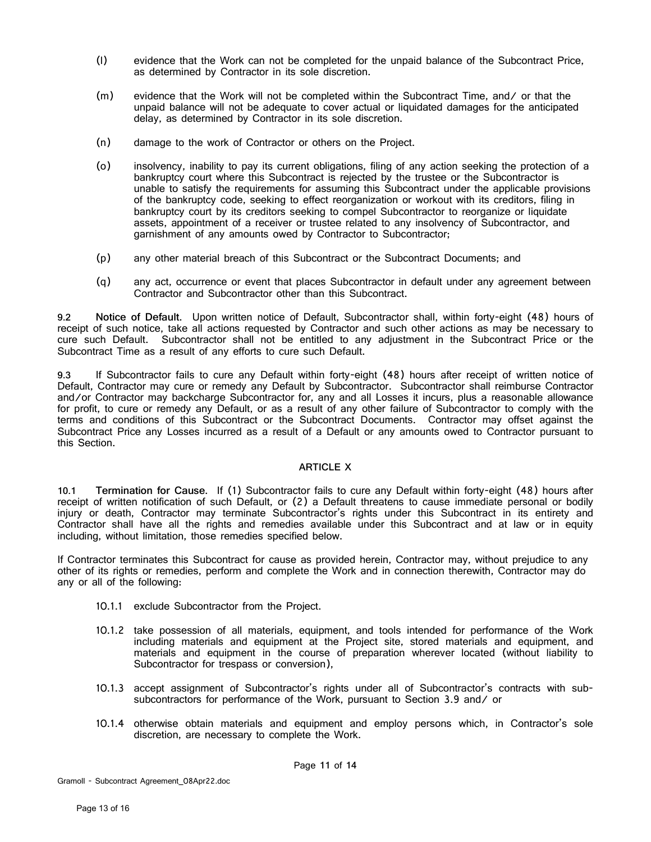- (l) evidence that the Work can not be completed for the unpaid balance of the Subcontract Price, as determined by Contractor in its sole discretion.
- (m) evidence that the Work will not be completed within the Subcontract Time, and/ or that the unpaid balance will not be adequate to cover actual or liquidated damages for the anticipated delay, as determined by Contractor in its sole discretion.
- (n) damage to the work of Contractor or others on the Project.
- (o) insolvency, inability to pay its current obligations, filing of any action seeking the protection of a bankruptcy court where this Subcontract is rejected by the trustee or the Subcontractor is unable to satisfy the requirements for assuming this Subcontract under the applicable provisions of the bankruptcy code, seeking to effect reorganization or workout with its creditors, filing in bankruptcy court by its creditors seeking to compel Subcontractor to reorganize or liquidate assets, appointment of a receiver or trustee related to any insolvency of Subcontractor, and garnishment of any amounts owed by Contractor to Subcontractor;
- (p) any other material breach of this Subcontract or the Subcontract Documents; and
- (q) any act, occurrence or event that places Subcontractor in default under any agreement between Contractor and Subcontractor other than this Subcontract.

**9.2 Notice of Default.** Upon written notice of Default, Subcontractor shall, within forty-eight (48) hours of receipt of such notice, take all actions requested by Contractor and such other actions as may be necessary to cure such Default. Subcontractor shall not be entitled to any adjustment in the Subcontract Price or the Subcontract Time as a result of any efforts to cure such Default.

**9.3** If Subcontractor fails to cure any Default within forty-eight (48) hours after receipt of written notice of Default, Contractor may cure or remedy any Default by Subcontractor. Subcontractor shall reimburse Contractor and/or Contractor may backcharge Subcontractor for, any and all Losses it incurs, plus a reasonable allowance for profit, to cure or remedy any Default, or as a result of any other failure of Subcontractor to comply with the terms and conditions of this Subcontract or the Subcontract Documents. Contractor may offset against the Subcontract Price any Losses incurred as a result of a Default or any amounts owed to Contractor pursuant to this Section.

#### **ARTICLE X**

<span id="page-12-0"></span>**10.1 Termination for Cause.** If (1) Subcontractor fails to cure any Default within forty-eight (48) hours after receipt of written notification of such Default, or (2) a Default threatens to cause immediate personal or bodily injury or death, Contractor may terminate Subcontractor's rights under this Subcontract in its entirety and Contractor shall have all the rights and remedies available under this Subcontract and at law or in equity including, without limitation, those remedies specified below.

If Contractor terminates this Subcontract for cause as provided herein, Contractor may, without prejudice to any other of its rights or remedies, perform and complete the Work and in connection therewith, Contractor may do any or all of the following:

- 10.1.1 exclude Subcontractor from the Project.
- 10.1.2 take possession of all materials, equipment, and tools intended for performance of the Work including materials and equipment at the Project site, stored materials and equipment, and materials and equipment in the course of preparation wherever located (without liability to Subcontractor for trespass or conversion),
- 10.1.3 accept assignment of Subcontractor's rights under all of Subcontractor's contracts with subsubcontractors for performance of the Work, pursuant to Section [3.9](#page-5-0) and/ or
- 10.1.4 otherwise obtain materials and equipment and employ persons which, in Contractor's sole discretion, are necessary to complete the Work.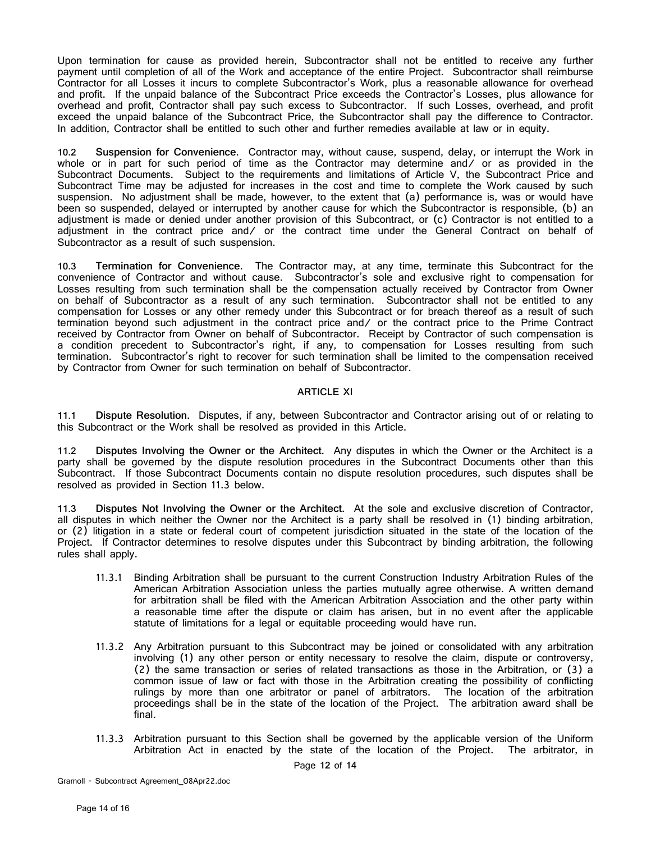Upon termination for cause as provided herein, Subcontractor shall not be entitled to receive any further payment until completion of all of the Work and acceptance of the entire Project. Subcontractor shall reimburse Contractor for all Losses it incurs to complete Subcontractor's Work, plus a reasonable allowance for overhead and profit. If the unpaid balance of the Subcontract Price exceeds the Contractor's Losses, plus allowance for overhead and profit, Contractor shall pay such excess to Subcontractor. If such Losses, overhead, and profit exceed the unpaid balance of the Subcontract Price, the Subcontractor shall pay the difference to Contractor. In addition, Contractor shall be entitled to such other and further remedies available at law or in equity.

**10.2 Suspension for Convenience.** Contractor may, without cause, suspend, delay, or interrupt the Work in whole or in part for such period of time as the Contractor may determine and/ or as provided in the Subcontract Documents. Subject to the requirements and limitations of Article V, the Subcontract Price and Subcontract Time may be adjusted for increases in the cost and time to complete the Work caused by such suspension. No adjustment shall be made, however, to the extent that (a) performance is, was or would have been so suspended, delayed or interrupted by another cause for which the Subcontractor is responsible, (b) an adjustment is made or denied under another provision of this Subcontract, or (c) Contractor is not entitled to a adjustment in the contract price and/ or the contract time under the General Contract on behalf of Subcontractor as a result of such suspension.

**10.3 Termination for Convenience.** The Contractor may, at any time, terminate this Subcontract for the convenience of Contractor and without cause. Subcontractor's sole and exclusive right to compensation for Losses resulting from such termination shall be the compensation actually received by Contractor from Owner on behalf of Subcontractor as a result of any such termination. Subcontractor shall not be entitled to any compensation for Losses or any other remedy under this Subcontract or for breach thereof as a result of such termination beyond such adjustment in the contract price and/ or the contract price to the Prime Contract received by Contractor from Owner on behalf of Subcontractor. Receipt by Contractor of such compensation is a condition precedent to Subcontractor's right, if any, to compensation for Losses resulting from such termination. Subcontractor's right to recover for such termination shall be limited to the compensation received by Contractor from Owner for such termination on behalf of Subcontractor.

#### **ARTICLE XI**

<span id="page-13-0"></span>**11.1 Dispute Resolution.** Disputes, if any, between Subcontractor and Contractor arising out of or relating to this Subcontract or the Work shall be resolved as provided in this Article.

**11.2 Disputes Involving the Owner or the Architect.** Any disputes in which the Owner or the Architect is a party shall be governed by the dispute resolution procedures in the Subcontract Documents other than this Subcontract. If those Subcontract Documents contain no dispute resolution procedures, such disputes shall be resolved as provided in Section 11.3 below.

**11.3 Disputes Not Involving the Owner or the Architect.** At the sole and exclusive discretion of Contractor, all disputes in which neither the Owner nor the Architect is a party shall be resolved in (1) binding arbitration, or (2) litigation in a state or federal court of competent jurisdiction situated in the state of the location of the Project. If Contractor determines to resolve disputes under this Subcontract by binding arbitration, the following rules shall apply.

- 11.3.1 Binding Arbitration shall be pursuant to the current Construction Industry Arbitration Rules of the American Arbitration Association unless the parties mutually agree otherwise. A written demand for arbitration shall be filed with the American Arbitration Association and the other party within a reasonable time after the dispute or claim has arisen, but in no event after the applicable statute of limitations for a legal or equitable proceeding would have run.
- 11.3.2 Any Arbitration pursuant to this Subcontract may be joined or consolidated with any arbitration involving (1) any other person or entity necessary to resolve the claim, dispute or controversy, (2) the same transaction or series of related transactions as those in the Arbitration, or (3) a common issue of law or fact with those in the Arbitration creating the possibility of conflicting rulings by more than one arbitrator or panel of arbitrators. The location of the arbitration proceedings shall be in the state of the location of the Project. The arbitration award shall be final.
- 11.3.3 Arbitration pursuant to this Section shall be governed by the applicable version of the Uniform Arbitration Act in enacted by the state of the location of the Project. The arbitrator, in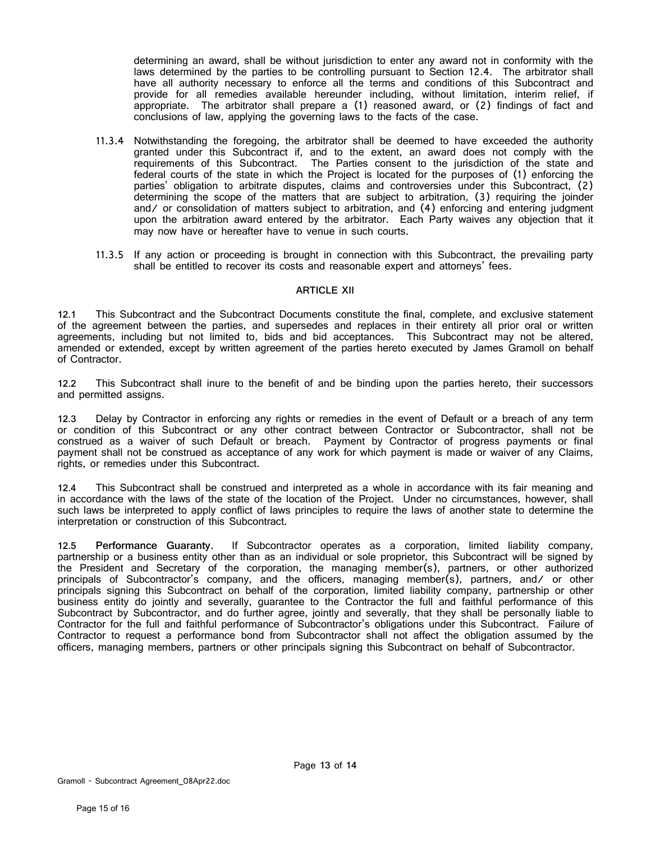determining an award, shall be without jurisdiction to enter any award not in conformity with the laws determined by the parties to be controlling pursuant to Section 12.4. The arbitrator shall have all authority necessary to enforce all the terms and conditions of this Subcontract and provide for all remedies available hereunder including, without limitation, interim relief, if appropriate. The arbitrator shall prepare a (1) reasoned award, or (2) findings of fact and conclusions of law, applying the governing laws to the facts of the case.

- 11.3.4 Notwithstanding the foregoing, the arbitrator shall be deemed to have exceeded the authority granted under this Subcontract if, and to the extent, an award does not comply with the requirements of this Subcontract. The Parties consent to the jurisdiction of the state and federal courts of the state in which the Project is located for the purposes of (1) enforcing the parties' obligation to arbitrate disputes, claims and controversies under this Subcontract, (2) determining the scope of the matters that are subject to arbitration, (3) requiring the joinder and/ or consolidation of matters subject to arbitration, and (4) enforcing and entering judgment upon the arbitration award entered by the arbitrator. Each Party waives any objection that it may now have or hereafter have to venue in such courts.
- 11.3.5 If any action or proceeding is brought in connection with this Subcontract, the prevailing party shall be entitled to recover its costs and reasonable expert and attorneys' fees.

#### **ARTICLE XII**

<span id="page-14-0"></span>**12.1** This Subcontract and the Subcontract Documents constitute the final, complete, and exclusive statement of the agreement between the parties, and supersedes and replaces in their entirety all prior oral or written agreements, including but not limited to, bids and bid acceptances. This Subcontract may not be altered, amended or extended, except by written agreement of the parties hereto executed by James Gramoll on behalf of Contractor.

**12.2** This Subcontract shall inure to the benefit of and be binding upon the parties hereto, their successors and permitted assigns.

**12.3** Delay by Contractor in enforcing any rights or remedies in the event of Default or a breach of any term or condition of this Subcontract or any other contract between Contractor or Subcontractor, shall not be construed as a waiver of such Default or breach. Payment by Contractor of progress payments or final payment shall not be construed as acceptance of any work for which payment is made or waiver of any Claims, rights, or remedies under this Subcontract.

**12.4** This Subcontract shall be construed and interpreted as a whole in accordance with its fair meaning and in accordance with the laws of the state of the location of the Project. Under no circumstances, however, shall such laws be interpreted to apply conflict of laws principles to require the laws of another state to determine the interpretation or construction of this Subcontract.

**12.5 Performance Guaranty.** If Subcontractor operates as a corporation, limited liability company, partnership or a business entity other than as an individual or sole proprietor, this Subcontract will be signed by the President and Secretary of the corporation, the managing member(s), partners, or other authorized principals of Subcontractor's company, and the officers, managing member(s), partners, and/ or other principals signing this Subcontract on behalf of the corporation, limited liability company, partnership or other business entity do jointly and severally, guarantee to the Contractor the full and faithful performance of this Subcontract by Subcontractor, and do further agree, jointly and severally, that they shall be personally liable to Contractor for the full and faithful performance of Subcontractor's obligations under this Subcontract. Failure of Contractor to request a performance bond from Subcontractor shall not affect the obligation assumed by the officers, managing members, partners or other principals signing this Subcontract on behalf of Subcontractor.